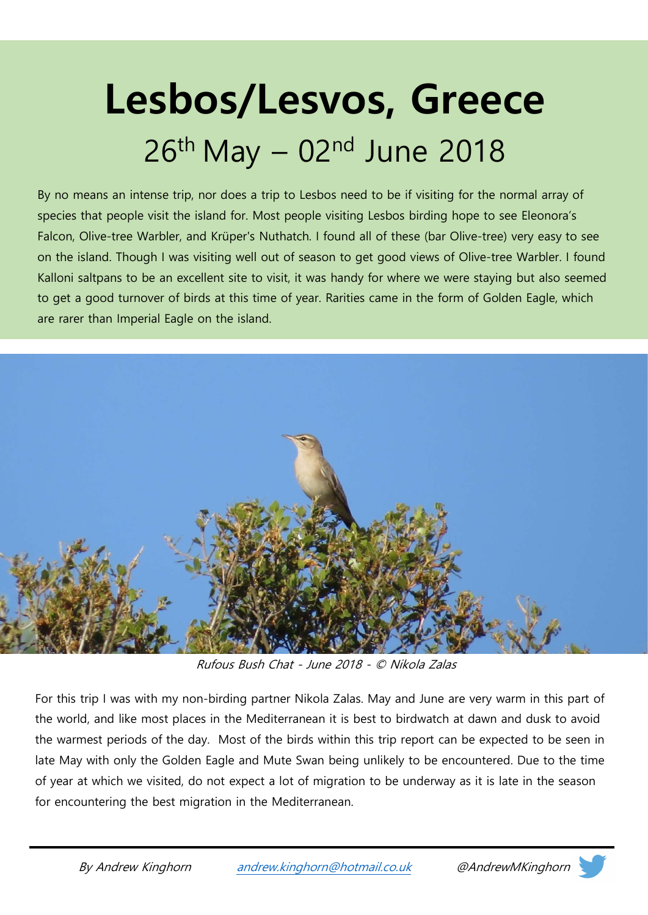# Lesbos/Lesvos, Greece  $26<sup>th</sup>$  May  $-$  02<sup>nd</sup> June 2018

By no means an intense trip, nor does a trip to Lesbos need to be if visiting for the normal array of species that people visit the island for. Most people visiting Lesbos birding hope to see Eleonora's Falcon, Olive-tree Warbler, and Krüper's Nuthatch. I found all of these (bar Olive-tree) very easy to see on the island. Though I was visiting well out of season to get good views of Olive-tree Warbler. I found Kalloni saltpans to be an excellent site to visit, it was handy for where we were staying but also seemed to get a good turnover of birds at this time of year. Rarities came in the form of Golden Eagle, which are rarer than Imperial Eagle on the island.



Rufous Bush Chat - June 2018 - © Nikola Zalas

For this trip I was with my non-birding partner Nikola Zalas. May and June are very warm in this part of the world, and like most places in the Mediterranean it is best to birdwatch at dawn and dusk to avoid the warmest periods of the day. Most of the birds within this trip report can be expected to be seen in late May with only the Golden Eagle and Mute Swan being unlikely to be encountered. Due to the time of year at which we visited, do not expect a lot of migration to be underway as it is late in the season for encountering the best migration in the Mediterranean.

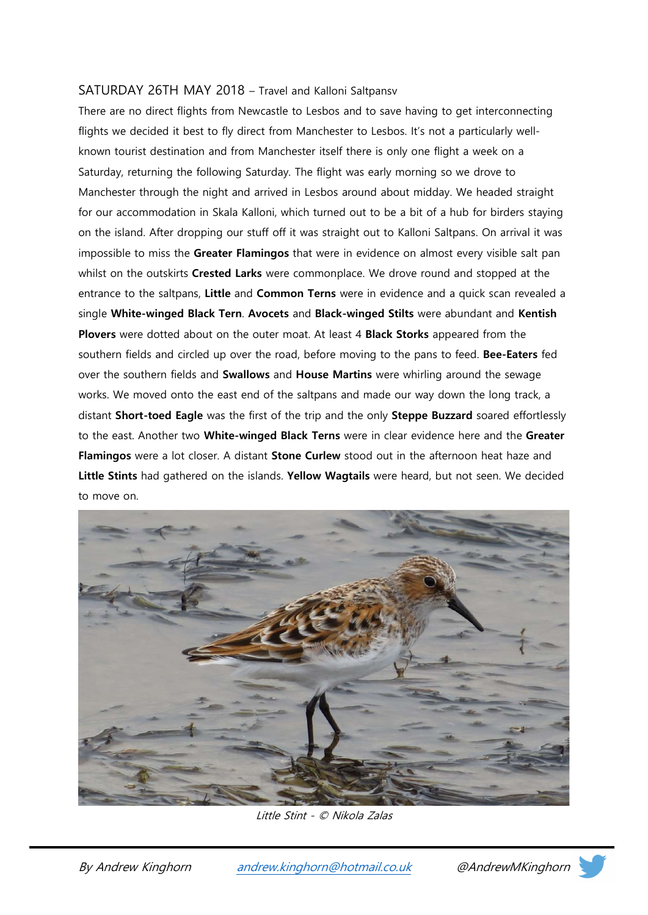#### SATURDAY 26TH MAY 2018 – Travel and Kalloni Saltpansv

There are no direct flights from Newcastle to Lesbos and to save having to get interconnecting flights we decided it best to fly direct from Manchester to Lesbos. It's not a particularly wellknown tourist destination and from Manchester itself there is only one flight a week on a Saturday, returning the following Saturday. The flight was early morning so we drove to Manchester through the night and arrived in Lesbos around about midday. We headed straight for our accommodation in Skala Kalloni, which turned out to be a bit of a hub for birders staying on the island. After dropping our stuff off it was straight out to Kalloni Saltpans. On arrival it was impossible to miss the Greater Flamingos that were in evidence on almost every visible salt pan whilst on the outskirts Crested Larks were commonplace. We drove round and stopped at the entrance to the saltpans, Little and Common Terns were in evidence and a quick scan revealed a single White-winged Black Tern. Avocets and Black-winged Stilts were abundant and Kentish Plovers were dotted about on the outer moat. At least 4 Black Storks appeared from the southern fields and circled up over the road, before moving to the pans to feed. Bee-Eaters fed over the southern fields and Swallows and House Martins were whirling around the sewage works. We moved onto the east end of the saltpans and made our way down the long track, a distant Short-toed Eagle was the first of the trip and the only Steppe Buzzard soared effortlessly to the east. Another two **White-winged Black Terns** were in clear evidence here and the Greater Flamingos were a lot closer. A distant Stone Curlew stood out in the afternoon heat haze and Little Stints had gathered on the islands. Yellow Wagtails were heard, but not seen. We decided to move on.



Little Stint - © Nikola Zalas

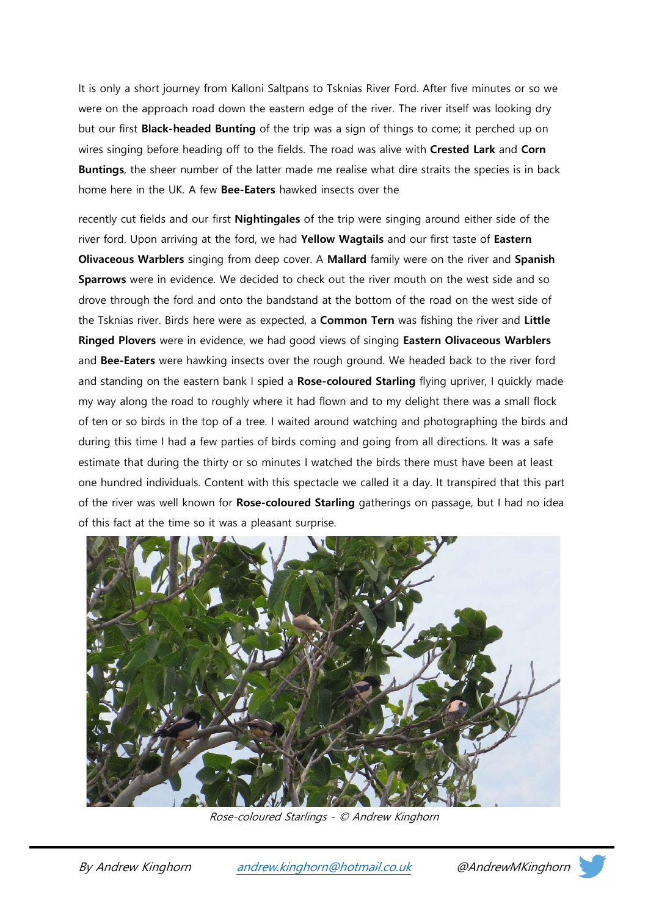It is only a short journey from Kalloni Saltpans to Tsknias River Ford. After five minutes or so we were on the approach road down the eastern edge of the river. The river itself was looking dry but our first **Black-headed Bunting** of the trip was a sign of things to come; it perched up on wires singing before heading off to the fields. The road was alive with Crested Lark and Corn Buntings, the sheer number of the latter made me realise what dire straits the species is in back home here in the UK. A few Bee-Eaters hawked insects over the

recently cut fields and our first **Nightingales** of the trip were singing around either side of the river ford. Upon arriving at the ford, we had Yellow Wagtails and our first taste of Eastern Olivaceous Warblers singing from deep cover. A Mallard family were on the river and Spanish Sparrows were in evidence. We decided to check out the river mouth on the west side and so drove through the ford and onto the bandstand at the bottom of the road on the west side of the Tsknias river. Birds here were as expected, a **Common Tern** was fishing the river and Little Ringed Plovers were in evidence, we had good views of singing Eastern Olivaceous Warblers and Bee-Eaters were hawking insects over the rough ground. We headed back to the river ford and standing on the eastern bank I spied a Rose-coloured Starling flying upriver, I quickly made my way along the road to roughly where it had flown and to my delight there was a small flock of ten or so birds in the top of a tree. I waited around watching and photographing the birds and during this time I had a few parties of birds coming and going from all directions. It was a safe estimate that during the thirty or so minutes I watched the birds there must have been at least one hundred individuals. Content with this spectacle we called it a day. It transpired that this part of the river was well known for Rose-coloured Starling gatherings on passage, but I had no idea of this fact at the time so it was a pleasant surprise.



Rose-coloured Starlings - © Andrew Kinghorn



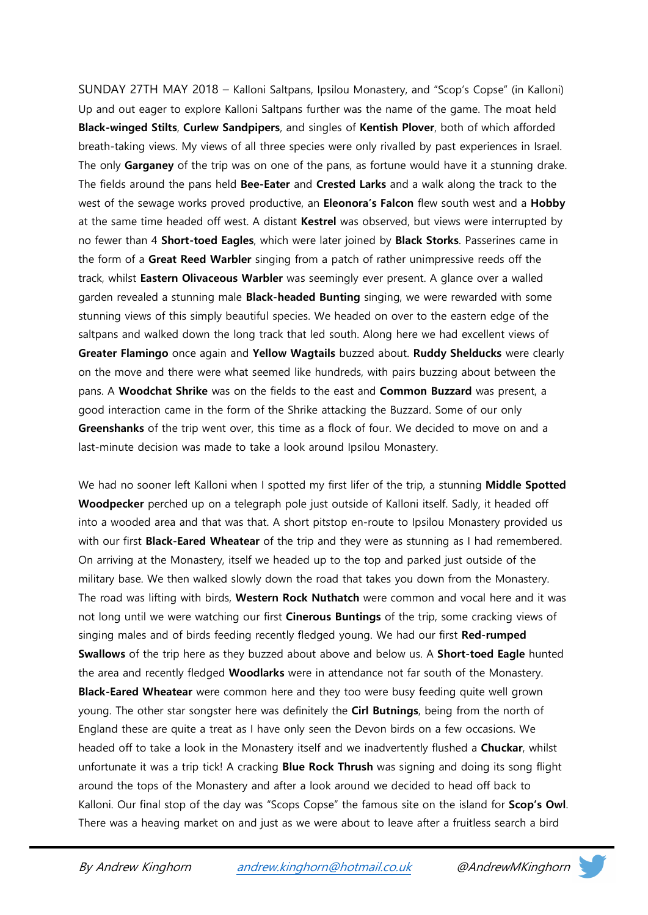SUNDAY 27TH MAY 2018 – Kalloni Saltpans, Ipsilou Monastery, and "Scop's Copse" (in Kalloni) Up and out eager to explore Kalloni Saltpans further was the name of the game. The moat held Black-winged Stilts, Curlew Sandpipers, and singles of Kentish Plover, both of which afforded breath-taking views. My views of all three species were only rivalled by past experiences in Israel. The only Garganey of the trip was on one of the pans, as fortune would have it a stunning drake. The fields around the pans held Bee-Eater and Crested Larks and a walk along the track to the west of the sewage works proved productive, an **Eleonora's Falcon** flew south west and a **Hobby** at the same time headed off west. A distant Kestrel was observed, but views were interrupted by no fewer than 4 Short-toed Eagles, which were later joined by Black Storks. Passerines came in the form of a Great Reed Warbler singing from a patch of rather unimpressive reeds off the track, whilst Eastern Olivaceous Warbler was seemingly ever present. A glance over a walled garden revealed a stunning male **Black-headed Bunting** singing, we were rewarded with some stunning views of this simply beautiful species. We headed on over to the eastern edge of the saltpans and walked down the long track that led south. Along here we had excellent views of Greater Flamingo once again and Yellow Wagtails buzzed about. Ruddy Shelducks were clearly on the move and there were what seemed like hundreds, with pairs buzzing about between the pans. A Woodchat Shrike was on the fields to the east and Common Buzzard was present, a good interaction came in the form of the Shrike attacking the Buzzard. Some of our only Greenshanks of the trip went over, this time as a flock of four. We decided to move on and a last-minute decision was made to take a look around Ipsilou Monastery.

We had no sooner left Kalloni when I spotted my first lifer of the trip, a stunning Middle Spotted Woodpecker perched up on a telegraph pole just outside of Kalloni itself. Sadly, it headed off into a wooded area and that was that. A short pitstop en-route to Ipsilou Monastery provided us with our first **Black-Eared Wheatear** of the trip and they were as stunning as I had remembered. On arriving at the Monastery, itself we headed up to the top and parked just outside of the military base. We then walked slowly down the road that takes you down from the Monastery. The road was lifting with birds, Western Rock Nuthatch were common and vocal here and it was not long until we were watching our first Cinerous Buntings of the trip, some cracking views of singing males and of birds feeding recently fledged young. We had our first Red-rumped Swallows of the trip here as they buzzed about above and below us. A Short-toed Eagle hunted the area and recently fledged **Woodlarks** were in attendance not far south of the Monastery. Black-Eared Wheatear were common here and they too were busy feeding quite well grown young. The other star songster here was definitely the Cirl Butnings, being from the north of England these are quite a treat as I have only seen the Devon birds on a few occasions. We headed off to take a look in the Monastery itself and we inadvertently flushed a Chuckar, whilst unfortunate it was a trip tick! A cracking **Blue Rock Thrush** was signing and doing its song flight around the tops of the Monastery and after a look around we decided to head off back to Kalloni. Our final stop of the day was "Scops Copse" the famous site on the island for **Scop's Owl**. There was a heaving market on and just as we were about to leave after a fruitless search a bird

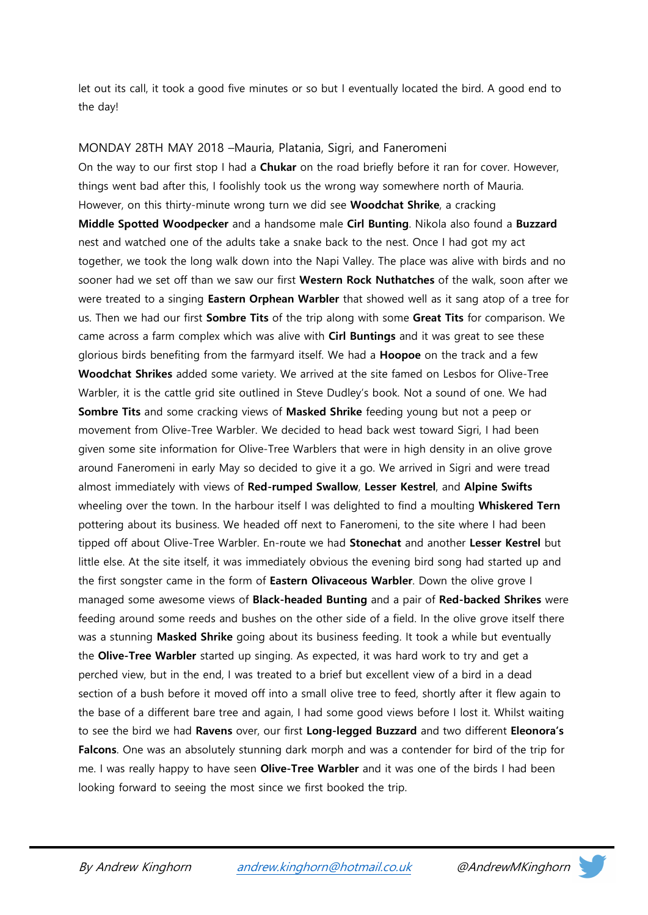let out its call, it took a good five minutes or so but I eventually located the bird. A good end to the day!

MONDAY 28TH MAY 2018 –Mauria, Platania, Sigri, and Faneromeni On the way to our first stop I had a **Chukar** on the road briefly before it ran for cover. However, things went bad after this, I foolishly took us the wrong way somewhere north of Mauria. However, on this thirty-minute wrong turn we did see Woodchat Shrike, a cracking Middle Spotted Woodpecker and a handsome male Cirl Bunting. Nikola also found a Buzzard nest and watched one of the adults take a snake back to the nest. Once I had got my act together, we took the long walk down into the Napi Valley. The place was alive with birds and no sooner had we set off than we saw our first Western Rock Nuthatches of the walk, soon after we were treated to a singing **Eastern Orphean Warbler** that showed well as it sang atop of a tree for us. Then we had our first **Sombre Tits** of the trip along with some Great Tits for comparison. We came across a farm complex which was alive with Cirl Buntings and it was great to see these glorious birds benefiting from the farmyard itself. We had a **Hoopoe** on the track and a few Woodchat Shrikes added some variety. We arrived at the site famed on Lesbos for Olive-Tree Warbler, it is the cattle grid site outlined in Steve Dudley's book. Not a sound of one. We had Sombre Tits and some cracking views of Masked Shrike feeding young but not a peep or movement from Olive-Tree Warbler. We decided to head back west toward Sigri, I had been given some site information for Olive-Tree Warblers that were in high density in an olive grove around Faneromeni in early May so decided to give it a go. We arrived in Sigri and were tread almost immediately with views of Red-rumped Swallow, Lesser Kestrel, and Alpine Swifts wheeling over the town. In the harbour itself I was delighted to find a moulting Whiskered Tern pottering about its business. We headed off next to Faneromeni, to the site where I had been tipped off about Olive-Tree Warbler. En-route we had Stonechat and another Lesser Kestrel but little else. At the site itself, it was immediately obvious the evening bird song had started up and the first songster came in the form of Eastern Olivaceous Warbler. Down the olive grove I managed some awesome views of Black-headed Bunting and a pair of Red-backed Shrikes were feeding around some reeds and bushes on the other side of a field. In the olive grove itself there was a stunning Masked Shrike going about its business feeding. It took a while but eventually the **Olive-Tree Warbler** started up singing. As expected, it was hard work to try and get a perched view, but in the end, I was treated to a brief but excellent view of a bird in a dead section of a bush before it moved off into a small olive tree to feed, shortly after it flew again to the base of a different bare tree and again, I had some good views before I lost it. Whilst waiting to see the bird we had Ravens over, our first Long-legged Buzzard and two different Eleonora's Falcons. One was an absolutely stunning dark morph and was a contender for bird of the trip for me. I was really happy to have seen **Olive-Tree Warbler** and it was one of the birds I had been looking forward to seeing the most since we first booked the trip.

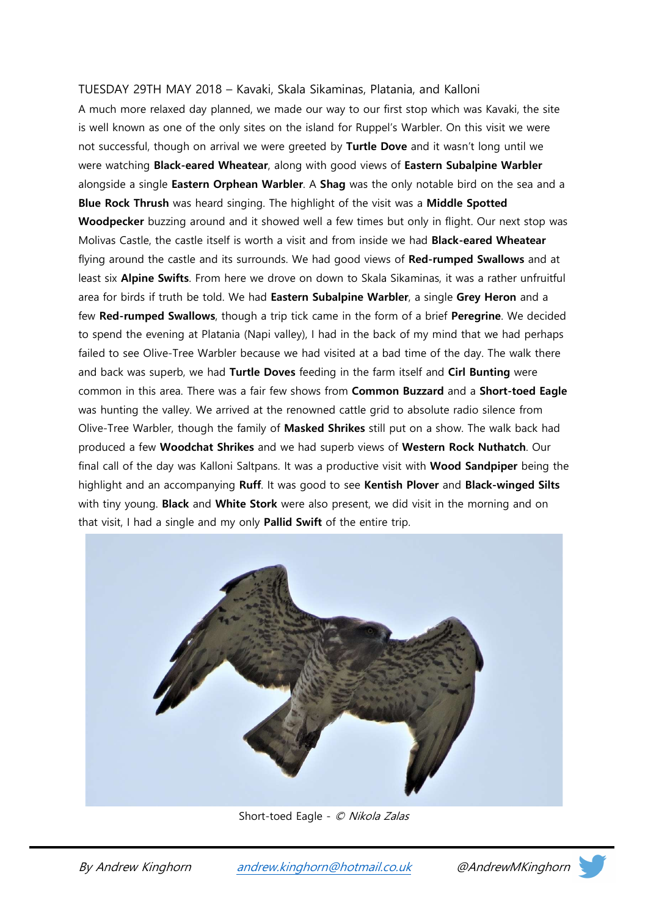# TUESDAY 29TH MAY 2018 – Kavaki, Skala Sikaminas, Platania, and Kalloni

A much more relaxed day planned, we made our way to our first stop which was Kavaki, the site is well known as one of the only sites on the island for Ruppel's Warbler. On this visit we were not successful, though on arrival we were greeted by Turtle Dove and it wasn't long until we were watching Black-eared Wheatear, along with good views of Eastern Subalpine Warbler alongside a single Eastern Orphean Warbler. A Shag was the only notable bird on the sea and a Blue Rock Thrush was heard singing. The highlight of the visit was a Middle Spotted Woodpecker buzzing around and it showed well a few times but only in flight. Our next stop was Molivas Castle, the castle itself is worth a visit and from inside we had Black-eared Wheatear flying around the castle and its surrounds. We had good views of Red-rumped Swallows and at least six **Alpine Swifts**. From here we drove on down to Skala Sikaminas, it was a rather unfruitful area for birds if truth be told. We had Eastern Subalpine Warbler, a single Grey Heron and a few Red-rumped Swallows, though a trip tick came in the form of a brief Peregrine. We decided to spend the evening at Platania (Napi valley), I had in the back of my mind that we had perhaps failed to see Olive-Tree Warbler because we had visited at a bad time of the day. The walk there and back was superb, we had Turtle Doves feeding in the farm itself and Cirl Bunting were common in this area. There was a fair few shows from Common Buzzard and a Short-toed Eagle was hunting the valley. We arrived at the renowned cattle grid to absolute radio silence from Olive-Tree Warbler, though the family of Masked Shrikes still put on a show. The walk back had produced a few Woodchat Shrikes and we had superb views of Western Rock Nuthatch. Our final call of the day was Kalloni Saltpans. It was a productive visit with **Wood Sandpiper** being the highlight and an accompanying Ruff. It was good to see Kentish Plover and Black-winged Silts with tiny young. Black and White Stork were also present, we did visit in the morning and on that visit, I had a single and my only **Pallid Swift** of the entire trip.



Short-toed Eagle - © Nikola Zalas

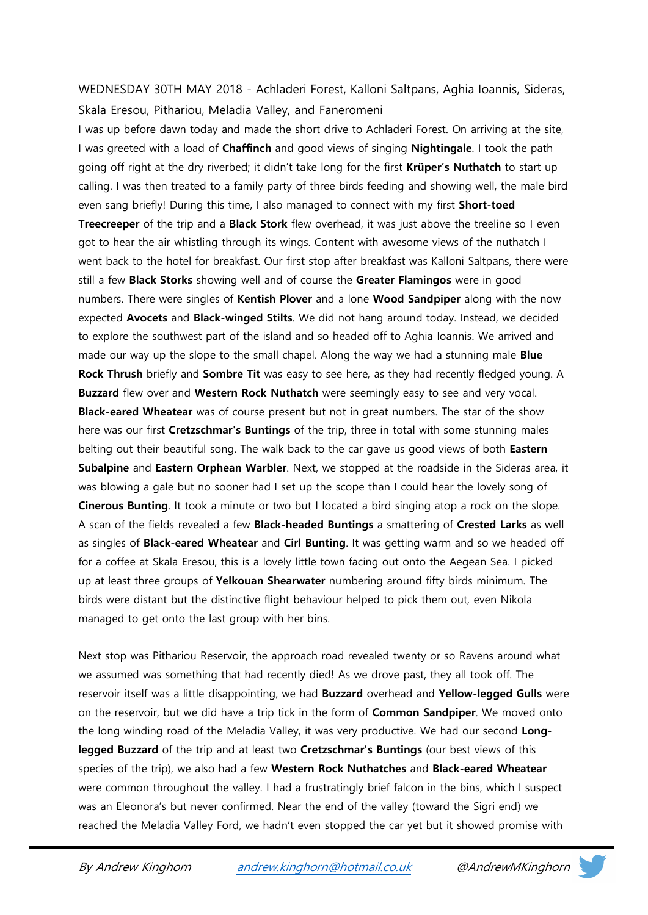## WEDNESDAY 30TH MAY 2018 - Achladeri Forest, Kalloni Saltpans, Aghia Ioannis, Sideras, Skala Eresou, Pithariou, Meladia Valley, and Faneromeni

I was up before dawn today and made the short drive to Achladeri Forest. On arriving at the site, I was greeted with a load of Chaffinch and good views of singing Nightingale. I took the path going off right at the dry riverbed; it didn't take long for the first **Krüper's Nuthatch** to start up calling. I was then treated to a family party of three birds feeding and showing well, the male bird even sang briefly! During this time, I also managed to connect with my first **Short-toed** Treecreeper of the trip and a Black Stork flew overhead, it was just above the treeline so I even got to hear the air whistling through its wings. Content with awesome views of the nuthatch I went back to the hotel for breakfast. Our first stop after breakfast was Kalloni Saltpans, there were still a few Black Storks showing well and of course the Greater Flamingos were in good numbers. There were singles of Kentish Plover and a lone Wood Sandpiper along with the now expected Avocets and Black-winged Stilts. We did not hang around today. Instead, we decided to explore the southwest part of the island and so headed off to Aghia Ioannis. We arrived and made our way up the slope to the small chapel. Along the way we had a stunning male **Blue** Rock Thrush briefly and Sombre Tit was easy to see here, as they had recently fledged young. A Buzzard flew over and Western Rock Nuthatch were seemingly easy to see and very vocal. **Black-eared Wheatear** was of course present but not in great numbers. The star of the show here was our first Cretzschmar's Buntings of the trip, three in total with some stunning males belting out their beautiful song. The walk back to the car gave us good views of both Eastern Subalpine and Eastern Orphean Warbler. Next, we stopped at the roadside in the Sideras area, it was blowing a gale but no sooner had I set up the scope than I could hear the lovely song of Cinerous Bunting. It took a minute or two but I located a bird singing atop a rock on the slope. A scan of the fields revealed a few Black-headed Buntings a smattering of Crested Larks as well as singles of **Black-eared Wheatear** and *Cirl Bunting*. It was getting warm and so we headed off for a coffee at Skala Eresou, this is a lovely little town facing out onto the Aegean Sea. I picked up at least three groups of Yelkouan Shearwater numbering around fifty birds minimum. The birds were distant but the distinctive flight behaviour helped to pick them out, even Nikola managed to get onto the last group with her bins.

Next stop was Pithariou Reservoir, the approach road revealed twenty or so Ravens around what we assumed was something that had recently died! As we drove past, they all took off. The reservoir itself was a little disappointing, we had Buzzard overhead and Yellow-legged Gulls were on the reservoir, but we did have a trip tick in the form of Common Sandpiper. We moved onto the long winding road of the Meladia Valley, it was very productive. We had our second Longlegged Buzzard of the trip and at least two Cretzschmar's Buntings (our best views of this species of the trip), we also had a few Western Rock Nuthatches and Black-eared Wheatear were common throughout the valley. I had a frustratingly brief falcon in the bins, which I suspect was an Eleonora's but never confirmed. Near the end of the valley (toward the Sigri end) we reached the Meladia Valley Ford, we hadn't even stopped the car yet but it showed promise with

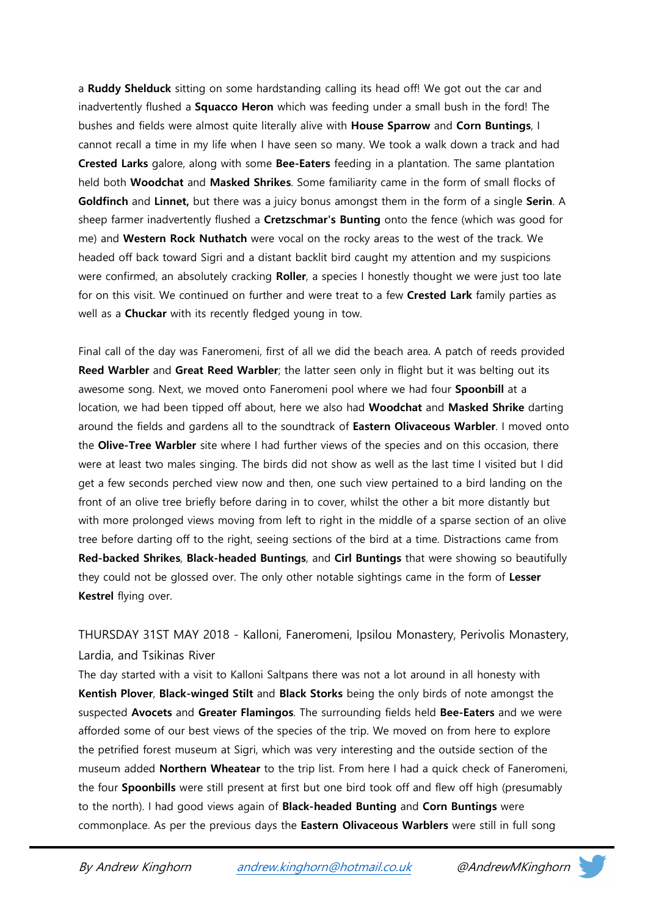a Ruddy Shelduck sitting on some hardstanding calling its head off! We got out the car and inadvertently flushed a **Squacco Heron** which was feeding under a small bush in the ford! The bushes and fields were almost quite literally alive with **House Sparrow** and Corn Buntings, I cannot recall a time in my life when I have seen so many. We took a walk down a track and had Crested Larks galore, along with some Bee-Eaters feeding in a plantation. The same plantation held both Woodchat and Masked Shrikes. Some familiarity came in the form of small flocks of Goldfinch and Linnet, but there was a juicy bonus amongst them in the form of a single Serin. A sheep farmer inadvertently flushed a Cretzschmar's Bunting onto the fence (which was good for me) and Western Rock Nuthatch were vocal on the rocky areas to the west of the track. We headed off back toward Sigri and a distant backlit bird caught my attention and my suspicions were confirmed, an absolutely cracking Roller, a species I honestly thought we were just too late for on this visit. We continued on further and were treat to a few Crested Lark family parties as well as a **Chuckar** with its recently fledged young in tow.

Final call of the day was Faneromeni, first of all we did the beach area. A patch of reeds provided Reed Warbler and Great Reed Warbler; the latter seen only in flight but it was belting out its awesome song. Next, we moved onto Faneromeni pool where we had four **Spoonbill** at a location, we had been tipped off about, here we also had Woodchat and Masked Shrike darting around the fields and gardens all to the soundtrack of **Eastern Olivaceous Warbler**. I moved onto the Olive-Tree Warbler site where I had further views of the species and on this occasion, there were at least two males singing. The birds did not show as well as the last time I visited but I did get a few seconds perched view now and then, one such view pertained to a bird landing on the front of an olive tree briefly before daring in to cover, whilst the other a bit more distantly but with more prolonged views moving from left to right in the middle of a sparse section of an olive tree before darting off to the right, seeing sections of the bird at a time. Distractions came from Red-backed Shrikes, Black-headed Buntings, and Cirl Buntings that were showing so beautifully they could not be glossed over. The only other notable sightings came in the form of Lesser Kestrel flying over.

THURSDAY 31ST MAY 2018 - Kalloni, Faneromeni, Ipsilou Monastery, Perivolis Monastery, Lardia, and Tsikinas River

The day started with a visit to Kalloni Saltpans there was not a lot around in all honesty with Kentish Plover, Black-winged Stilt and Black Storks being the only birds of note amongst the suspected Avocets and Greater Flamingos. The surrounding fields held Bee-Eaters and we were afforded some of our best views of the species of the trip. We moved on from here to explore the petrified forest museum at Sigri, which was very interesting and the outside section of the museum added Northern Wheatear to the trip list. From here I had a quick check of Faneromeni, the four **Spoonbills** were still present at first but one bird took off and flew off high (presumably to the north). I had good views again of Black-headed Bunting and Corn Buntings were commonplace. As per the previous days the Eastern Olivaceous Warblers were still in full song

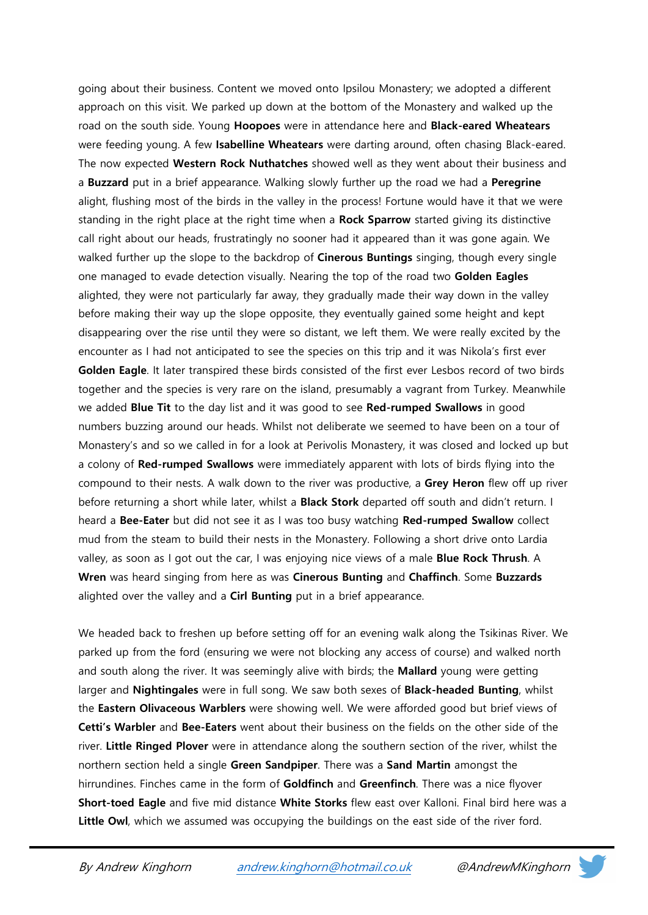going about their business. Content we moved onto Ipsilou Monastery; we adopted a different approach on this visit. We parked up down at the bottom of the Monastery and walked up the road on the south side. Young **Hoopoes** were in attendance here and **Black-eared Wheatears** were feeding young. A few Isabelline Wheatears were darting around, often chasing Black-eared. The now expected Western Rock Nuthatches showed well as they went about their business and a **Buzzard** put in a brief appearance. Walking slowly further up the road we had a Peregrine alight, flushing most of the birds in the valley in the process! Fortune would have it that we were standing in the right place at the right time when a Rock Sparrow started giving its distinctive call right about our heads, frustratingly no sooner had it appeared than it was gone again. We walked further up the slope to the backdrop of **Cinerous Buntings** singing, though every single one managed to evade detection visually. Nearing the top of the road two Golden Eagles alighted, they were not particularly far away, they gradually made their way down in the valley before making their way up the slope opposite, they eventually gained some height and kept disappearing over the rise until they were so distant, we left them. We were really excited by the encounter as I had not anticipated to see the species on this trip and it was Nikola's first ever Golden Eagle. It later transpired these birds consisted of the first ever Lesbos record of two birds together and the species is very rare on the island, presumably a vagrant from Turkey. Meanwhile we added Blue Tit to the day list and it was good to see Red-rumped Swallows in good numbers buzzing around our heads. Whilst not deliberate we seemed to have been on a tour of Monastery's and so we called in for a look at Perivolis Monastery, it was closed and locked up but a colony of Red-rumped Swallows were immediately apparent with lots of birds flying into the compound to their nests. A walk down to the river was productive, a Grey Heron flew off up river before returning a short while later, whilst a Black Stork departed off south and didn't return. I heard a Bee-Eater but did not see it as I was too busy watching Red-rumped Swallow collect mud from the steam to build their nests in the Monastery. Following a short drive onto Lardia valley, as soon as I got out the car, I was enjoying nice views of a male Blue Rock Thrush. A Wren was heard singing from here as was Cinerous Bunting and Chaffinch. Some Buzzards alighted over the valley and a Cirl Bunting put in a brief appearance.

We headed back to freshen up before setting off for an evening walk along the Tsikinas River. We parked up from the ford (ensuring we were not blocking any access of course) and walked north and south along the river. It was seemingly alive with birds; the Mallard young were getting larger and Nightingales were in full song. We saw both sexes of Black-headed Bunting, whilst the Eastern Olivaceous Warblers were showing well. We were afforded good but brief views of Cetti's Warbler and Bee-Eaters went about their business on the fields on the other side of the river. Little Ringed Plover were in attendance along the southern section of the river, whilst the northern section held a single Green Sandpiper. There was a Sand Martin amongst the hirrundines. Finches came in the form of Goldfinch and Greenfinch. There was a nice flyover Short-toed Eagle and five mid distance White Storks flew east over Kalloni. Final bird here was a Little Owl, which we assumed was occupying the buildings on the east side of the river ford.

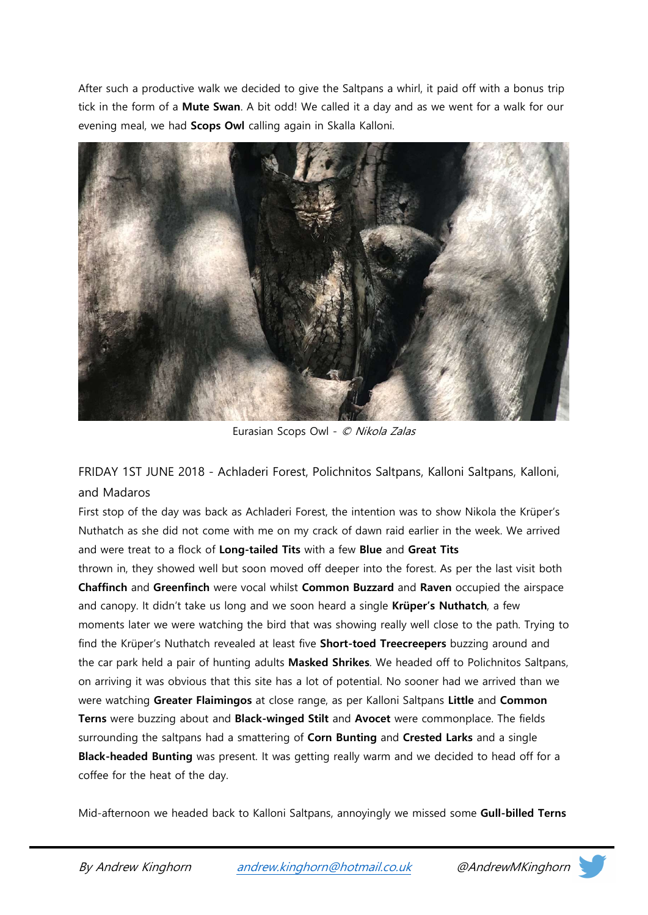After such a productive walk we decided to give the Saltpans a whirl, it paid off with a bonus trip tick in the form of a Mute Swan. A bit odd! We called it a day and as we went for a walk for our evening meal, we had **Scops Owl** calling again in Skalla Kalloni.



Eurasian Scops Owl - © Nikola Zalas

FRIDAY 1ST JUNE 2018 - Achladeri Forest, Polichnitos Saltpans, Kalloni Saltpans, Kalloni, and Madaros

First stop of the day was back as Achladeri Forest, the intention was to show Nikola the Krüper's Nuthatch as she did not come with me on my crack of dawn raid earlier in the week. We arrived and were treat to a flock of Long-tailed Tits with a few Blue and Great Tits

thrown in, they showed well but soon moved off deeper into the forest. As per the last visit both Chaffinch and Greenfinch were vocal whilst Common Buzzard and Raven occupied the airspace and canopy. It didn't take us long and we soon heard a single **Krüper's Nuthatch**, a few moments later we were watching the bird that was showing really well close to the path. Trying to find the Krüper's Nuthatch revealed at least five Short-toed Treecreepers buzzing around and the car park held a pair of hunting adults Masked Shrikes. We headed off to Polichnitos Saltpans, on arriving it was obvious that this site has a lot of potential. No sooner had we arrived than we were watching Greater Flaimingos at close range, as per Kalloni Saltpans Little and Common Terns were buzzing about and Black-winged Stilt and Avocet were commonplace. The fields surrounding the saltpans had a smattering of Corn Bunting and Crested Larks and a single Black-headed Bunting was present. It was getting really warm and we decided to head off for a coffee for the heat of the day.

Mid-afternoon we headed back to Kalloni Saltpans, annoyingly we missed some **Gull-billed Terns** 

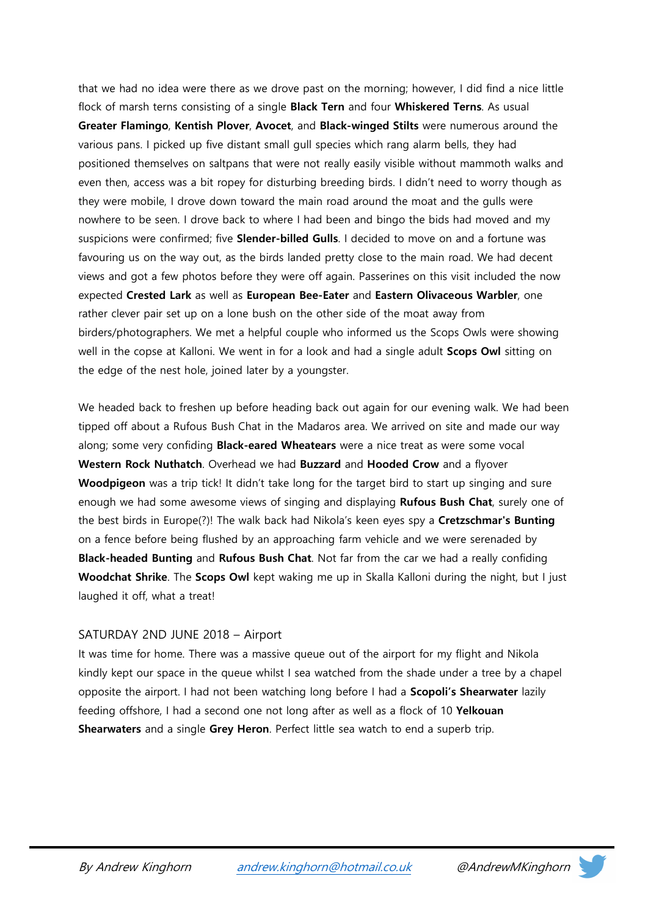that we had no idea were there as we drove past on the morning; however, I did find a nice little flock of marsh terns consisting of a single **Black Tern** and four **Whiskered Terns**. As usual Greater Flamingo, Kentish Plover, Avocet, and Black-winged Stilts were numerous around the various pans. I picked up five distant small gull species which rang alarm bells, they had positioned themselves on saltpans that were not really easily visible without mammoth walks and even then, access was a bit ropey for disturbing breeding birds. I didn't need to worry though as they were mobile, I drove down toward the main road around the moat and the gulls were nowhere to be seen. I drove back to where I had been and bingo the bids had moved and my suspicions were confirmed; five **Slender-billed Gulls**. I decided to move on and a fortune was favouring us on the way out, as the birds landed pretty close to the main road. We had decent views and got a few photos before they were off again. Passerines on this visit included the now expected Crested Lark as well as European Bee-Eater and Eastern Olivaceous Warbler, one rather clever pair set up on a lone bush on the other side of the moat away from birders/photographers. We met a helpful couple who informed us the Scops Owls were showing well in the copse at Kalloni. We went in for a look and had a single adult **Scops Owl** sitting on the edge of the nest hole, joined later by a youngster.

We headed back to freshen up before heading back out again for our evening walk. We had been tipped off about a Rufous Bush Chat in the Madaros area. We arrived on site and made our way along; some very confiding **Black-eared Wheatears** were a nice treat as were some vocal Western Rock Nuthatch. Overhead we had Buzzard and Hooded Crow and a flyover Woodpigeon was a trip tick! It didn't take long for the target bird to start up singing and sure enough we had some awesome views of singing and displaying Rufous Bush Chat, surely one of the best birds in Europe(?)! The walk back had Nikola's keen eyes spy a Cretzschmar's Bunting on a fence before being flushed by an approaching farm vehicle and we were serenaded by Black-headed Bunting and Rufous Bush Chat. Not far from the car we had a really confiding Woodchat Shrike. The Scops Owl kept waking me up in Skalla Kalloni during the night, but I just laughed it off, what a treat!

#### SATURDAY 2ND JUNE 2018 – Airport

It was time for home. There was a massive queue out of the airport for my flight and Nikola kindly kept our space in the queue whilst I sea watched from the shade under a tree by a chapel opposite the airport. I had not been watching long before I had a Scopoli's Shearwater lazily feeding offshore, I had a second one not long after as well as a flock of 10 Yelkouan Shearwaters and a single Grey Heron. Perfect little sea watch to end a superb trip.

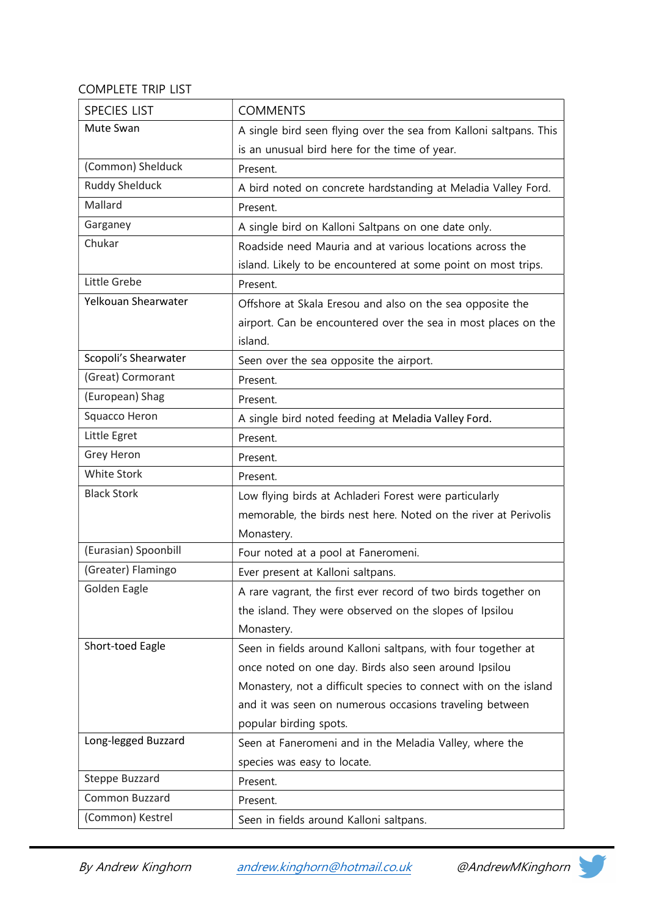### COMPLETE TRIP LIST

| <b>SPECIES LIST</b>   | <b>COMMENTS</b>                                                    |
|-----------------------|--------------------------------------------------------------------|
| Mute Swan             | A single bird seen flying over the sea from Kalloni saltpans. This |
|                       | is an unusual bird here for the time of year.                      |
| (Common) Shelduck     | Present.                                                           |
| <b>Ruddy Shelduck</b> | A bird noted on concrete hardstanding at Meladia Valley Ford.      |
| Mallard               | Present.                                                           |
| Garganey              | A single bird on Kalloni Saltpans on one date only.                |
| Chukar                | Roadside need Mauria and at various locations across the           |
|                       | island. Likely to be encountered at some point on most trips.      |
| Little Grebe          | Present.                                                           |
| Yelkouan Shearwater   | Offshore at Skala Eresou and also on the sea opposite the          |
|                       | airport. Can be encountered over the sea in most places on the     |
|                       | island.                                                            |
| Scopoli's Shearwater  | Seen over the sea opposite the airport.                            |
| (Great) Cormorant     | Present.                                                           |
| (European) Shag       | Present.                                                           |
| Squacco Heron         | A single bird noted feeding at Meladia Valley Ford.                |
| Little Egret          | Present.                                                           |
| Grey Heron            | Present.                                                           |
| White Stork           | Present.                                                           |
| <b>Black Stork</b>    | Low flying birds at Achladeri Forest were particularly             |
|                       | memorable, the birds nest here. Noted on the river at Perivolis    |
|                       | Monastery.                                                         |
| (Eurasian) Spoonbill  | Four noted at a pool at Faneromeni.                                |
| (Greater) Flamingo    | Ever present at Kalloni saltpans.                                  |
| Golden Eagle          | A rare vagrant, the first ever record of two birds together on     |
|                       | the island. They were observed on the slopes of Ipsilou            |
|                       | Monastery.                                                         |
| Short-toed Eagle      | Seen in fields around Kalloni saltpans, with four together at      |
|                       | once noted on one day. Birds also seen around Ipsilou              |
|                       | Monastery, not a difficult species to connect with on the island   |
|                       | and it was seen on numerous occasions traveling between            |
|                       | popular birding spots.                                             |
| Long-legged Buzzard   | Seen at Faneromeni and in the Meladia Valley, where the            |
|                       | species was easy to locate.                                        |
| Steppe Buzzard        | Present.                                                           |
| <b>Common Buzzard</b> | Present.                                                           |
| (Common) Kestrel      | Seen in fields around Kalloni saltpans.                            |

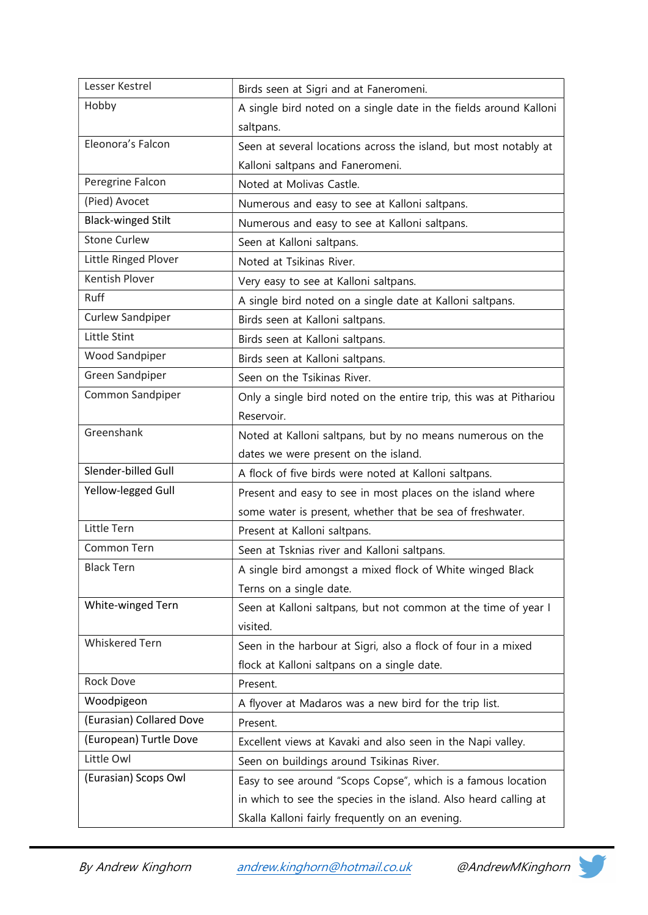| Lesser Kestrel            | Birds seen at Sigri and at Faneromeni.                             |
|---------------------------|--------------------------------------------------------------------|
| Hobby                     | A single bird noted on a single date in the fields around Kalloni  |
|                           | saltpans.                                                          |
| Eleonora's Falcon         | Seen at several locations across the island, but most notably at   |
|                           | Kalloni saltpans and Faneromeni.                                   |
| Peregrine Falcon          | Noted at Molivas Castle.                                           |
| (Pied) Avocet             | Numerous and easy to see at Kalloni saltpans.                      |
| <b>Black-winged Stilt</b> | Numerous and easy to see at Kalloni saltpans.                      |
| <b>Stone Curlew</b>       | Seen at Kalloni saltpans.                                          |
| Little Ringed Plover      | Noted at Tsikinas River.                                           |
| <b>Kentish Plover</b>     | Very easy to see at Kalloni saltpans.                              |
| Ruff                      | A single bird noted on a single date at Kalloni saltpans.          |
| <b>Curlew Sandpiper</b>   | Birds seen at Kalloni saltpans.                                    |
| Little Stint              | Birds seen at Kalloni saltpans.                                    |
| <b>Wood Sandpiper</b>     | Birds seen at Kalloni saltpans.                                    |
| <b>Green Sandpiper</b>    | Seen on the Tsikinas River.                                        |
| Common Sandpiper          | Only a single bird noted on the entire trip, this was at Pithariou |
|                           | Reservoir.                                                         |
| Greenshank                | Noted at Kalloni saltpans, but by no means numerous on the         |
|                           | dates we were present on the island.                               |
| Slender-billed Gull       | A flock of five birds were noted at Kalloni saltpans.              |
| Yellow-legged Gull        | Present and easy to see in most places on the island where         |
|                           | some water is present, whether that be sea of freshwater.          |
| Little Tern               | Present at Kalloni saltpans.                                       |
| Common Tern               | Seen at Tsknias river and Kalloni saltpans.                        |
| <b>Black Tern</b>         | A single bird amongst a mixed flock of White winged Black          |
|                           | Terns on a single date.                                            |
| White-winged Tern         | Seen at Kalloni saltpans, but not common at the time of year I     |
|                           | visited.                                                           |
| <b>Whiskered Tern</b>     | Seen in the harbour at Sigri, also a flock of four in a mixed      |
|                           | flock at Kalloni saltpans on a single date.                        |
| Rock Dove                 | Present.                                                           |
| Woodpigeon                | A flyover at Madaros was a new bird for the trip list.             |
| (Eurasian) Collared Dove  | Present.                                                           |
| (European) Turtle Dove    | Excellent views at Kavaki and also seen in the Napi valley.        |
| Little Owl                | Seen on buildings around Tsikinas River.                           |
| (Eurasian) Scops Owl      | Easy to see around "Scops Copse", which is a famous location       |
|                           | in which to see the species in the island. Also heard calling at   |
|                           | Skalla Kalloni fairly frequently on an evening.                    |

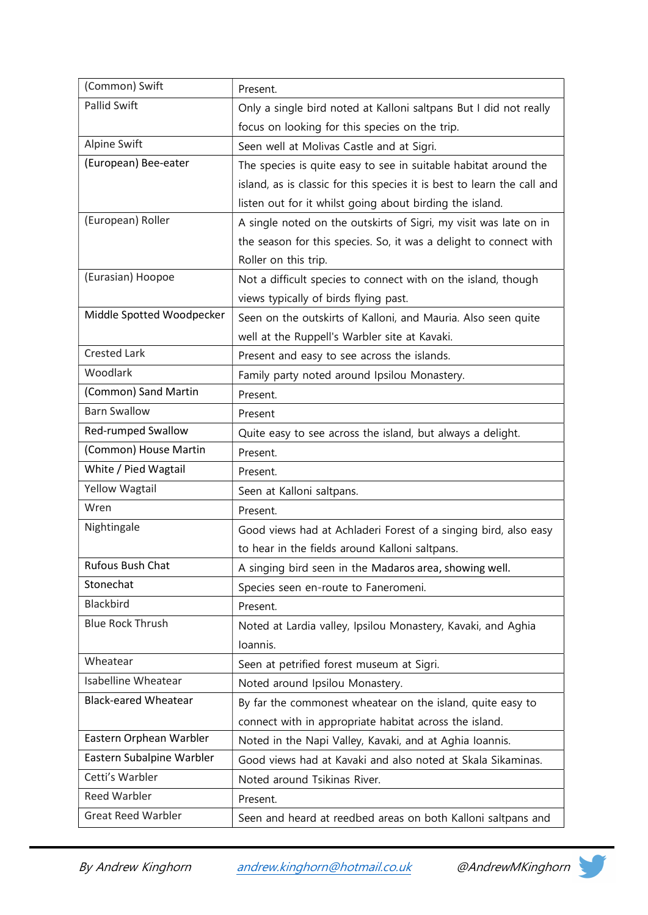| (Common) Swift              | Present.                                                                |
|-----------------------------|-------------------------------------------------------------------------|
| Pallid Swift                | Only a single bird noted at Kalloni saltpans But I did not really       |
|                             | focus on looking for this species on the trip.                          |
| Alpine Swift                | Seen well at Molivas Castle and at Sigri.                               |
| (European) Bee-eater        | The species is quite easy to see in suitable habitat around the         |
|                             | island, as is classic for this species it is best to learn the call and |
|                             | listen out for it whilst going about birding the island.                |
| (European) Roller           | A single noted on the outskirts of Sigri, my visit was late on in       |
|                             | the season for this species. So, it was a delight to connect with       |
|                             | Roller on this trip.                                                    |
| (Eurasian) Hoopoe           | Not a difficult species to connect with on the island, though           |
|                             | views typically of birds flying past.                                   |
| Middle Spotted Woodpecker   | Seen on the outskirts of Kalloni, and Mauria. Also seen quite           |
|                             | well at the Ruppell's Warbler site at Kavaki.                           |
| <b>Crested Lark</b>         | Present and easy to see across the islands.                             |
| Woodlark                    | Family party noted around Ipsilou Monastery.                            |
| (Common) Sand Martin        | Present.                                                                |
| <b>Barn Swallow</b>         | Present                                                                 |
| Red-rumped Swallow          | Quite easy to see across the island, but always a delight.              |
| (Common) House Martin       | Present.                                                                |
| White / Pied Wagtail        | Present.                                                                |
| Yellow Wagtail              | Seen at Kalloni saltpans.                                               |
| Wren                        | Present.                                                                |
| Nightingale                 | Good views had at Achladeri Forest of a singing bird, also easy         |
|                             | to hear in the fields around Kalloni saltpans.                          |
| Rufous Bush Chat            | A singing bird seen in the Madaros area, showing well.                  |
| Stonechat                   | Species seen en-route to Faneromeni.                                    |
| Blackbird                   | Present.                                                                |
| <b>Blue Rock Thrush</b>     | Noted at Lardia valley, Ipsilou Monastery, Kavaki, and Aghia            |
|                             | Ioannis.                                                                |
| Wheatear                    | Seen at petrified forest museum at Sigri.                               |
| <b>Isabelline Wheatear</b>  | Noted around Ipsilou Monastery.                                         |
| <b>Black-eared Wheatear</b> | By far the commonest wheatear on the island, quite easy to              |
|                             | connect with in appropriate habitat across the island.                  |
| Eastern Orphean Warbler     | Noted in the Napi Valley, Kavaki, and at Aghia Ioannis.                 |
| Eastern Subalpine Warbler   | Good views had at Kavaki and also noted at Skala Sikaminas.             |
| Cetti's Warbler             | Noted around Tsikinas River.                                            |
| <b>Reed Warbler</b>         | Present.                                                                |
| <b>Great Reed Warbler</b>   | Seen and heard at reedbed areas on both Kalloni saltpans and            |

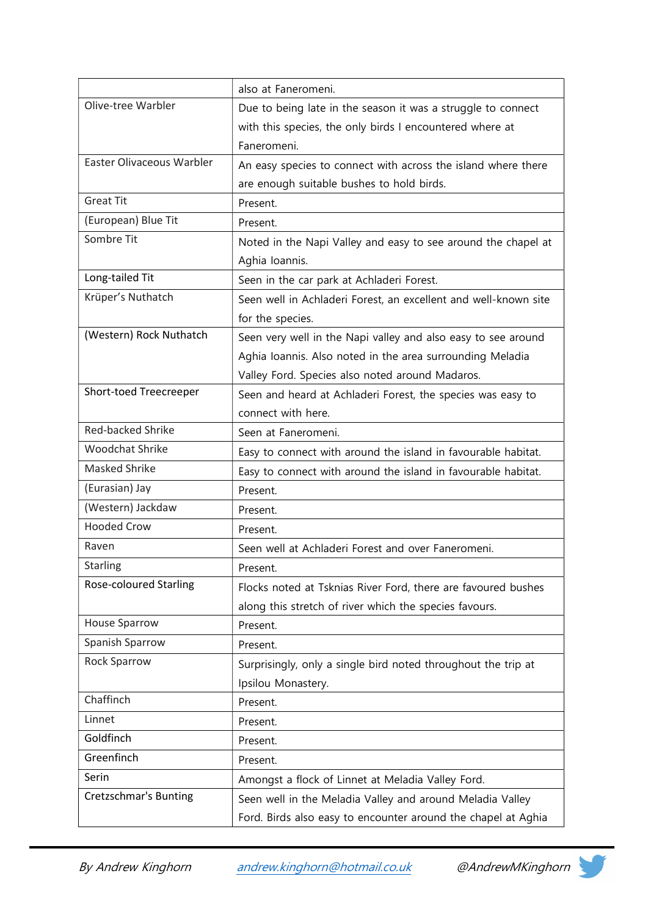|                               | also at Faneromeni.                                             |
|-------------------------------|-----------------------------------------------------------------|
| Olive-tree Warbler            | Due to being late in the season it was a struggle to connect    |
|                               | with this species, the only birds I encountered where at        |
|                               | Faneromeni.                                                     |
| Easter Olivaceous Warbler     | An easy species to connect with across the island where there   |
|                               | are enough suitable bushes to hold birds.                       |
| <b>Great Tit</b>              | Present.                                                        |
| (European) Blue Tit           | Present.                                                        |
| Sombre Tit                    | Noted in the Napi Valley and easy to see around the chapel at   |
|                               | Aghia Ioannis.                                                  |
| Long-tailed Tit               | Seen in the car park at Achladeri Forest.                       |
| Krüper's Nuthatch             | Seen well in Achladeri Forest, an excellent and well-known site |
|                               | for the species.                                                |
| (Western) Rock Nuthatch       | Seen very well in the Napi valley and also easy to see around   |
|                               | Aghia Ioannis. Also noted in the area surrounding Meladia       |
|                               | Valley Ford. Species also noted around Madaros.                 |
| Short-toed Treecreeper        | Seen and heard at Achladeri Forest, the species was easy to     |
|                               | connect with here.                                              |
| <b>Red-backed Shrike</b>      | Seen at Faneromeni.                                             |
| <b>Woodchat Shrike</b>        | Easy to connect with around the island in favourable habitat.   |
| Masked Shrike                 | Easy to connect with around the island in favourable habitat.   |
| (Eurasian) Jay                | Present.                                                        |
| (Western) Jackdaw             | Present.                                                        |
| <b>Hooded Crow</b>            | Present.                                                        |
| Raven                         | Seen well at Achladeri Forest and over Faneromeni.              |
| <b>Starling</b>               | Present.                                                        |
| <b>Rose-coloured Starling</b> | Flocks noted at Tsknias River Ford, there are favoured bushes   |
|                               | along this stretch of river which the species favours.          |
| <b>House Sparrow</b>          | Present.                                                        |
| Spanish Sparrow               | Present.                                                        |
| <b>Rock Sparrow</b>           | Surprisingly, only a single bird noted throughout the trip at   |
|                               | Ipsilou Monastery.                                              |
| Chaffinch                     | Present.                                                        |
| Linnet                        | Present.                                                        |
| Goldfinch                     | Present.                                                        |
| Greenfinch                    | Present.                                                        |
| Serin                         | Amongst a flock of Linnet at Meladia Valley Ford.               |
| Cretzschmar's Bunting         | Seen well in the Meladia Valley and around Meladia Valley       |
|                               | Ford. Birds also easy to encounter around the chapel at Aghia   |